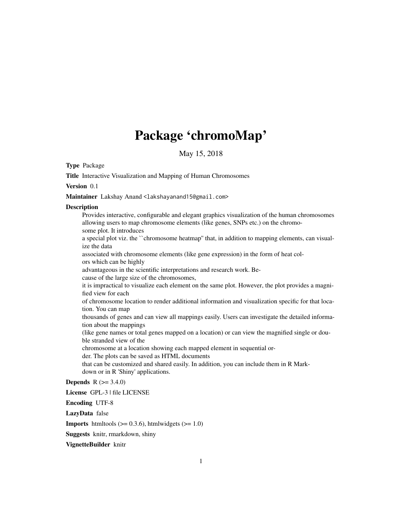# Package 'chromoMap'

May 15, 2018

Type Package

Title Interactive Visualization and Mapping of Human Chromosomes

Version 0.1

Maintainer Lakshay Anand <lakshayanand15@gmail.com>

#### **Description**

Provides interactive, configurable and elegant graphics visualization of the human chromosomes allowing users to map chromosome elements (like genes, SNPs etc.) on the chromosome plot. It introduces a special plot viz. the ``chromosome heatmap'' that, in addition to mapping elements, can visualize the data associated with chromosome elements (like gene expression) in the form of heat colors which can be highly advantageous in the scientific interpretations and research work. Because of the large size of the chromosomes, it is impractical to visualize each element on the same plot. However, the plot provides a magnified view for each of chromosome location to render additional information and visualization specific for that location. You can map thousands of genes and can view all mappings easily. Users can investigate the detailed information about the mappings (like gene names or total genes mapped on a location) or can view the magnified single or double stranded view of the chromosome at a location showing each mapped element in sequential order. The plots can be saved as HTML documents that can be customized and shared easily. In addition, you can include them in R Markdown or in R 'Shiny' applications. **Depends**  $R (= 3.4.0)$ License GPL-3 | file LICENSE

Encoding UTF-8

LazyData false

**Imports** htmltools  $(>= 0.3.6)$ , htmlwidgets  $(>= 1.0)$ 

Suggests knitr, rmarkdown, shiny

VignetteBuilder knitr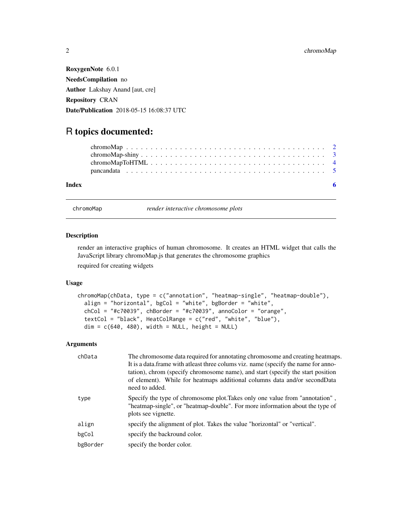RoxygenNote 6.0.1 NeedsCompilation no Author Lakshay Anand [aut, cre] Repository CRAN Date/Publication 2018-05-15 16:08:37 UTC

## R topics documented:

| Index |  |
|-------|--|

chromoMap *render interactive chromosome plots*

#### Description

render an interactive graphics of human chromosome. It creates an HTML widget that calls the JavaScript library chromoMap.js that generates the chromosome graphics

required for creating widgets

#### Usage

```
chromoMap(chData, type = c("annotation", "heatmap-single", "heatmap-double"),
  align = "horizontal", bgCol = "white", bgBorder = "white",
  chCol = " \#c70039", chBorder = " \#c70039", annoColor = "orange",textCol = "black", HeatColRange = c("red", "white", "blue"),
  dim = c(640, 480), width = NULL, height = NULL)
```
#### Arguments

| chData   | The chromosome data required for annotating chromosome and creating heatmaps.<br>It is a data. frame with at least three colums viz. name (specify the name for anno-<br>tation), chrom (specify chromosome name), and start (specify the start position<br>of element). While for heatmaps additional columns data and/or secondData<br>need to added. |
|----------|---------------------------------------------------------------------------------------------------------------------------------------------------------------------------------------------------------------------------------------------------------------------------------------------------------------------------------------------------------|
| type     | Specify the type of chromosome plot. Takes only one value from "annotation",<br>"heatmap-single", or "heatmap-double". For more information about the type of<br>plots see vignette.                                                                                                                                                                    |
| align    | specify the alignment of plot. Takes the value "horizontal" or "vertical".                                                                                                                                                                                                                                                                              |
| bgCol    | specify the backround color.                                                                                                                                                                                                                                                                                                                            |
| bgBorder | specify the border color.                                                                                                                                                                                                                                                                                                                               |
|          |                                                                                                                                                                                                                                                                                                                                                         |

<span id="page-1-0"></span>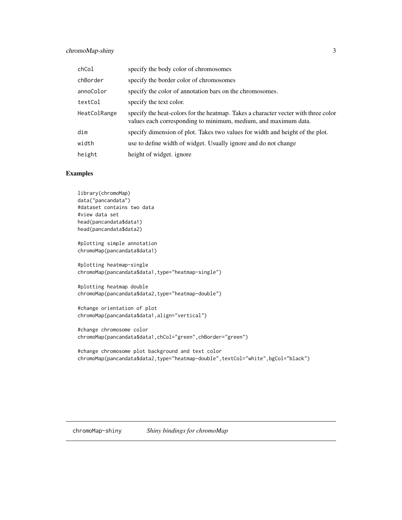#### <span id="page-2-0"></span>chromoMap-shiny 3

| chCol        | specify the body color of chromosomes                                                                                                                 |
|--------------|-------------------------------------------------------------------------------------------------------------------------------------------------------|
| chBorder     | specify the border color of chromosomes                                                                                                               |
| annoColor    | specify the color of annotation bars on the chromosomes.                                                                                              |
| textCol      | specify the text color.                                                                                                                               |
| HeatColRange | specify the heat-colors for the heatmap. Takes a character vecter with three color<br>values each corresponding to minimum, medium, and maximum data. |
| dim          | specify dimension of plot. Takes two values for width and height of the plot.                                                                         |
| width        | use to define width of widget. Usually ignore and do not change                                                                                       |
| height       | height of widget. ignore                                                                                                                              |

#### Examples

```
library(chromoMap)
data("pancandata")
#dataset contains two data
#view data set
head(pancandata$data1)
head(pancandata$data2)
#plotting simple annotation
chromoMap(pancandata$data1)
#plotting heatmap-single
chromoMap(pancandata$data1,type="heatmap-single")
#plotting heatmap double
chromoMap(pancandata$data2,type="heatmap-double")
#change orientation of plot
chromoMap(pancandata$data1,align="vertical")
#change chromosome color
chromoMap(pancandata$data1,chCol="green",chBorder="green")
#change chromosome plot background and text color
```
chromoMap(pancandata\$data2,type="heatmap-double",textCol="white",bgCol="black")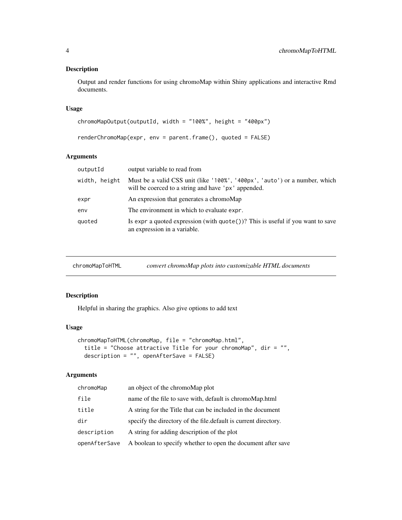#### <span id="page-3-0"></span>Description

Output and render functions for using chromoMap within Shiny applications and interactive Rmd documents.

#### Usage

```
chromoMapOutput(outputId, width = "100%", height = "400px")
renderChromoMap(expr, env = parent.frame(), quoted = FALSE)
```
#### Arguments

| output variable to read from                                                                                                      |
|-----------------------------------------------------------------------------------------------------------------------------------|
| Must be a valid CSS unit (like '100%', '400px', 'auto') or a number, which<br>will be coerced to a string and have 'px' appended. |
| An expression that generates a chromoMap                                                                                          |
| The environment in which to evaluate expr.                                                                                        |
| Is expr a quoted expression (with $\eta$ uote())? This is useful if you want to save<br>an expression in a variable.              |
|                                                                                                                                   |

| convert chromoMap plots into customizable HTML documents<br>chromoMapToHTML |
|-----------------------------------------------------------------------------|
|-----------------------------------------------------------------------------|

#### Description

Helpful in sharing the graphics. Also give options to add text

#### Usage

```
chromoMapToHTML(chromoMap, file = "chromoMap.html",
 title = "Choose attractive Title for your chromoMap", dir = "",
 description = "", openAfterSave = FALSE)
```
#### Arguments

| chromoMap     | an object of the chromoMap plot                                  |
|---------------|------------------------------------------------------------------|
| file          | name of the file to save with, default is chromoMap.html         |
| title         | A string for the Title that can be included in the document      |
| dir           | specify the directory of the file. default is current directory. |
| description   | A string for adding description of the plot                      |
| openAfterSave | A boolean to specify whether to open the document after save     |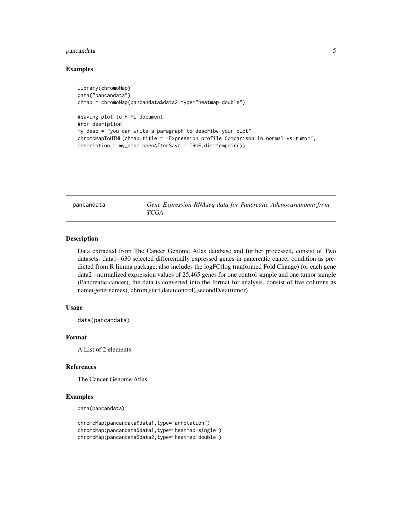#### <span id="page-4-0"></span>pancandata 5

#### Examples

```
library(chromoMap)
data("pancandata")
chmap = chromoMap(pancandata$data2,type="heatmap-double")
#saving plot to HTML document
#for desription
my_desc = "you can write a paragraph to describe your plot"
chromoMapToHTML(chmap,title = "Expression profile Comparison in normal vs tumor",
description = my_desc,openAfterSave = TRUE,dir=tempdir())
```

| pancandata |
|------------|
|------------|

Gene Expression RNAseq data for Pancreatic Adenocarcinoma from *TCGA*

#### Description

Data extracted from The Cancer Genome Atlas database and further processed, consist of Two datasets- data1- 630 selected differentially expressed genes in pancreatic cancer condition as predicted from R limma package, also includes the logFC(log tranformed Fold Change) for each gene data2 - normalized expression values of 25,465 genes for one control sample and one tumor sample (Pancreatic cancer), the data is converted into the format for analysis, consist of five columns as name(gene-names), chrom,start,data(control),secondData(tumor)

#### Usage

data(pancandata)

#### Format

A List of 2 elements

#### References

The Cancer Genome Atlas

#### Examples

data(pancandata)

```
chromoMap(pancandata$data1,type="annotation")
chromoMap(pancandata$data1,type="heatmap-single")
chromoMap(pancandata$data2,type="heatmap-double")
```